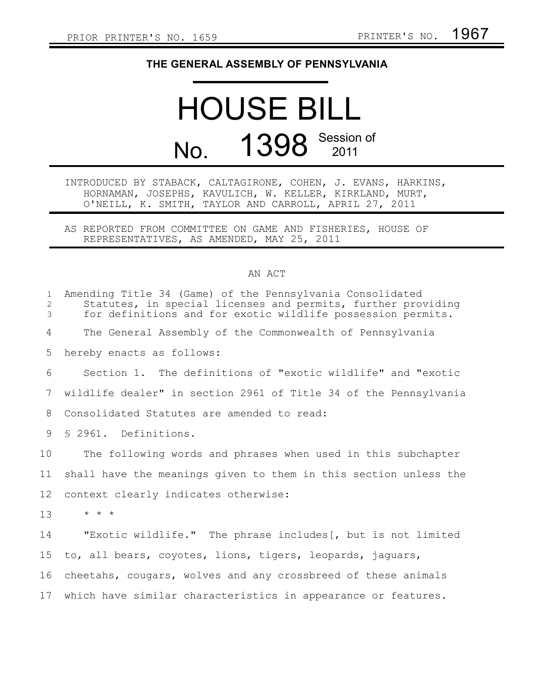## **THE GENERAL ASSEMBLY OF PENNSYLVANIA**

## HOUSE BILL No. 1398 Session of

## INTRODUCED BY STABACK, CALTAGIRONE, COHEN, J. EVANS, HARKINS, HORNAMAN, JOSEPHS, KAVULICH, W. KELLER, KIRKLAND, MURT, O'NEILL, K. SMITH, TAYLOR AND CARROLL, APRIL 27, 2011

AS REPORTED FROM COMMITTEE ON GAME AND FISHERIES, HOUSE OF REPRESENTATIVES, AS AMENDED, MAY 25, 2011

## AN ACT

| $\mathbf{1}$<br>2<br>3 | Amending Title 34 (Game) of the Pennsylvania Consolidated<br>Statutes, in special licenses and permits, further providing<br>for definitions and for exotic wildlife possession permits. |
|------------------------|------------------------------------------------------------------------------------------------------------------------------------------------------------------------------------------|
| 4                      | The General Assembly of the Commonwealth of Pennsylvania                                                                                                                                 |
| 5                      | hereby enacts as follows:                                                                                                                                                                |
| 6                      | Section 1. The definitions of "exotic wildlife" and "exotic                                                                                                                              |
| 7                      | wildlife dealer" in section 2961 of Title 34 of the Pennsylvania                                                                                                                         |
| 8                      | Consolidated Statutes are amended to read:                                                                                                                                               |
| 9                      | \$ 2961. Definitions.                                                                                                                                                                    |
| 10                     | The following words and phrases when used in this subchapter                                                                                                                             |
| 11                     | shall have the meanings given to them in this section unless the                                                                                                                         |
| 12                     | context clearly indicates otherwise:                                                                                                                                                     |
| 13                     | $\star$ $\star$ $\star$                                                                                                                                                                  |
| 14                     | "Exotic wildlife." The phrase includes [, but is not limited                                                                                                                             |
| 15                     | to, all bears, coyotes, lions, tigers, leopards, jaguars,                                                                                                                                |
| 16                     | cheetahs, cougars, wolves and any crossbreed of these animals                                                                                                                            |
| 17                     | which have similar characteristics in appearance or features.                                                                                                                            |
|                        |                                                                                                                                                                                          |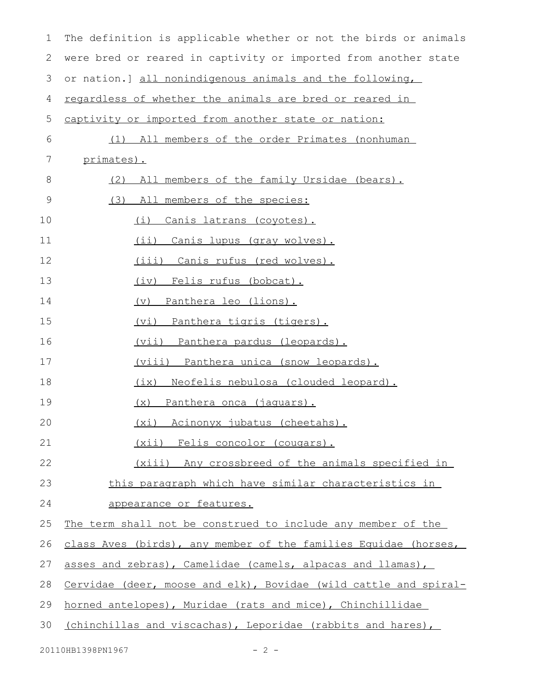| $\mathbf 1$ | The definition is applicable whether or not the birds or animals |
|-------------|------------------------------------------------------------------|
| 2           | were bred or reared in captivity or imported from another state  |
| 3           | or nation.] all nonindigenous animals and the following,         |
| 4           | regardless of whether the animals are bred or reared in          |
| 5           | captivity or imported from another state or nation:              |
| 6           | (1) All members of the order Primates (nonhuman                  |
| 7           | primates).                                                       |
| 8           | All members of the family Ursidae (bears).<br>(2)                |
| 9           | (3)<br>All members of the species:                               |
| 10          | Canis latrans (coyotes).<br>(i)                                  |
| 11          | (ii) Canis lupus (gray wolves).                                  |
| 12          | (iii) Canis rufus (red wolves).                                  |
| 13          | (iv) Felis rufus (bobcat).                                       |
| 14          | (v) Panthera leo (lions).                                        |
| 15          | <u>(vi) Panthera tigris (tigers).</u>                            |
| 16          | <u>(vii) Panthera pardus (leopards).</u>                         |
| 17          | <u>(viii) Panthera unica (snow leopards).</u>                    |
| 18          | (ix) Neofelis nebulosa (clouded leopard).                        |
| 19          | (x) Panthera onca (jaquars).                                     |
| 20          | (xi) Acinonyx jubatus (cheetahs).                                |
| 21          | (xii) Felis concolor (cougars).                                  |
| 22          | (xiii) Any crossbreed of the animals specified in                |
| 23          | this paragraph which have similar characteristics in             |
| 24          | appearance or features.                                          |
| 25          | The term shall not be construed to include any member of the     |
| 26          | class Aves (birds), any member of the families Equidae (horses,  |
| 27          | asses and zebras), Camelidae (camels, alpacas and llamas),       |
| 28          | Cervidae (deer, moose and elk), Bovidae (wild cattle and spiral- |
| 29          | horned antelopes), Muridae (rats and mice), Chinchillidae        |
| 30          | (chinchillas and viscachas), Leporidae (rabbits and hares),      |
|             |                                                                  |

20110HB1398PN1967 - 2 -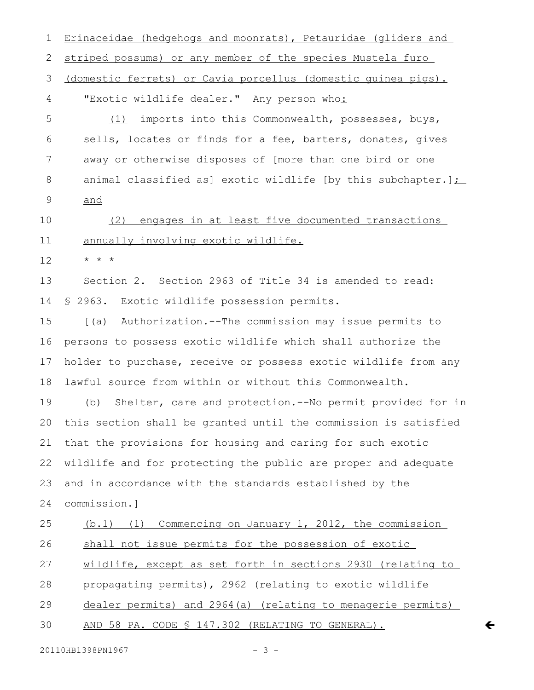Erinaceidae (hedgehogs and moonrats), Petauridae (gliders and striped possums) or any member of the species Mustela furo (domestic ferrets) or Cavia porcellus (domestic guinea pigs). "Exotic wildlife dealer." Any person who: (1) imports into this Commonwealth, possesses, buys, sells, locates or finds for a fee, barters, donates, gives away or otherwise disposes of [more than one bird or one animal classified as] exotic wildlife [by this subchapter.] $\sum$ and (2) engages in at least five documented transactions annually involving exotic wildlife. \* \* \* Section 2. Section 2963 of Title 34 is amended to read: § 2963. Exotic wildlife possession permits. [(a) Authorization.--The commission may issue permits to persons to possess exotic wildlife which shall authorize the holder to purchase, receive or possess exotic wildlife from any lawful source from within or without this Commonwealth. (b) Shelter, care and protection.--No permit provided for in this section shall be granted until the commission is satisfied that the provisions for housing and caring for such exotic wildlife and for protecting the public are proper and adequate and in accordance with the standards established by the commission.] (b.1) (1) Commencing on January 1, 2012, the commission shall not issue permits for the possession of exotic wildlife, except as set forth in sections 2930 (relating to propagating permits), 2962 (relating to exotic wildlife dealer permits) and 2964(a) (relating to menagerie permits) AND 58 PA. CODE § 147.302 (RELATING TO GENERAL). 1 2 3 4 5 6 7 8 9 10 11 12 13 14 15 16 17 18 19 20 21 22 23 24 25 26 27 28 29 30

 $\overline{\mathbf{C}}$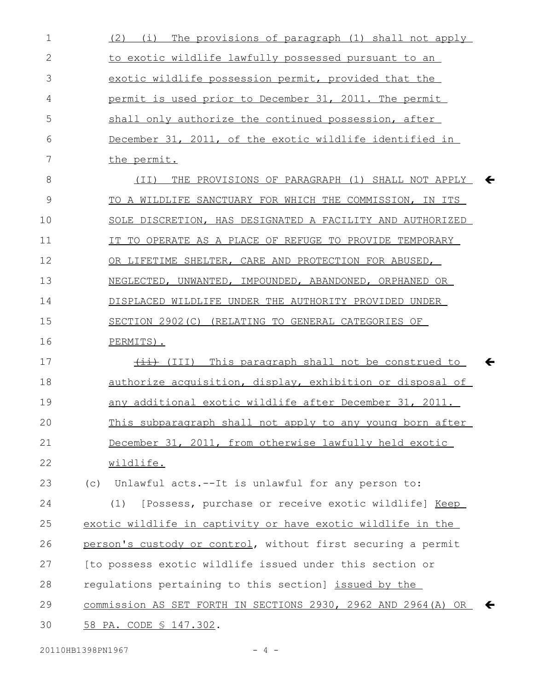| 1            | (2) (i) The provisions of paragraph (1) shall not apply                 |
|--------------|-------------------------------------------------------------------------|
| $\mathbf{2}$ | to exotic wildlife lawfully possessed pursuant to an                    |
| 3            | exotic wildlife possession permit, provided that the                    |
| 4            | permit is used prior to December 31, 2011. The permit                   |
| 5            | shall only authorize the continued possession, after                    |
| 6            | December 31, 2011, of the exotic wildlife identified in                 |
| 7            | the permit.                                                             |
| 8            | THE PROVISIONS OF PARAGRAPH (1) SHALL NOT APPLY<br>(TI)<br>$\leftarrow$ |
| 9            | TO A WILDLIFE SANCTUARY FOR WHICH THE COMMISSION, IN ITS                |
| 10           | SOLE DISCRETION, HAS DESIGNATED A FACILITY AND AUTHORIZED               |
| 11           | IT TO OPERATE AS A PLACE OF REFUGE TO PROVIDE TEMPORARY                 |
| 12           | OR LIFETIME SHELTER, CARE AND PROTECTION FOR ABUSED,                    |
| 13           | NEGLECTED, UNWANTED, IMPOUNDED, ABANDONED, ORPHANED OR                  |
| 14           | DISPLACED WILDLIFE UNDER THE AUTHORITY PROVIDED UNDER                   |
| 15           | SECTION 2902(C) (RELATING TO GENERAL CATEGORIES OF                      |
|              |                                                                         |
| 16           | PERMITS).                                                               |
| 17           | (III) This paragraph shall not be construed to<br>←                     |
| 18           | authorize acquisition, display, exhibition or disposal of               |
| 19           | any additional exotic wildlife after December 31, 2011.                 |
| 20           | This subparagraph shall not apply to any young born after               |
| 21           | December 31, 2011, from otherwise lawfully held exotic                  |
| 22           | wildlife.                                                               |
| 23           | Unlawful acts.--It is unlawful for any person to:<br>(C)                |
| 24           | [Possess, purchase or receive exotic wildlife] Keep<br>(1)              |
| 25           | exotic wildlife in captivity or have exotic wildlife in the             |
| 26           | person's custody or control, without first securing a permit            |
| 27           | [to possess exotic wildlife issued under this section or                |
| 28           | regulations pertaining to this section] issued by the                   |
| 29           | commission AS SET FORTH IN SECTIONS 2930, 2962 AND 2964 (A) OR          |

20110HB1398PN1967 - 4 -